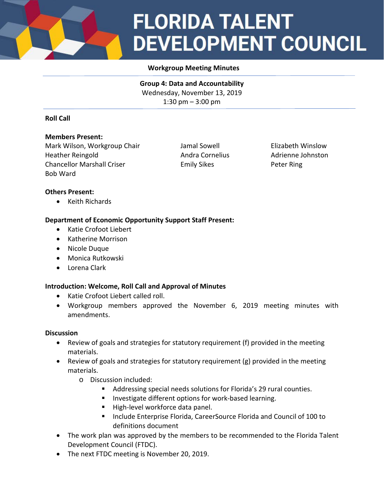## **FLORIDA TALENT DEVELOPMENT COUNCIL**

#### **Workgroup Meeting Minutes**

**Group 4: Data and Accountability** Wednesday, November 13, 2019 1:30 pm – 3:00 pm

#### **Roll Call**

#### **Members Present:**

Mark Wilson, Workgroup Chair **Jamal Sowell Elizabeth Winslow** Heather Reingold **Andra Cornelius** Andra Cornelius Adrienne Johnston Chancellor Marshall Criser **Emily Sikes** Emily Sikes Peter Ring Bob Ward

#### **Others Present:**

• Keith Richards

#### **Department of Economic Opportunity Support Staff Present:**

- Katie Crofoot Liebert
- Katherine Morrison
- Nicole Duque
- Monica Rutkowski
- Lorena Clark

#### **Introduction: Welcome, Roll Call and Approval of Minutes**

- Katie Crofoot Liebert called roll.
- Workgroup members approved the November 6, 2019 meeting minutes with amendments.

#### **Discussion**

- Review of goals and strategies for statutory requirement (f) provided in the meeting materials.
- Review of goals and strategies for statutory requirement (g) provided in the meeting materials.
	- o Discussion included:
		- Addressing special needs solutions for Florida's 29 rural counties.
		- **Investigate different options for work-based learning.**
		- High-level workforce data panel.
		- **Include Enterprise Florida, CareerSource Florida and Council of 100 to** definitions document
- The work plan was approved by the members to be recommended to the Florida Talent Development Council (FTDC).
- The next FTDC meeting is November 20, 2019.